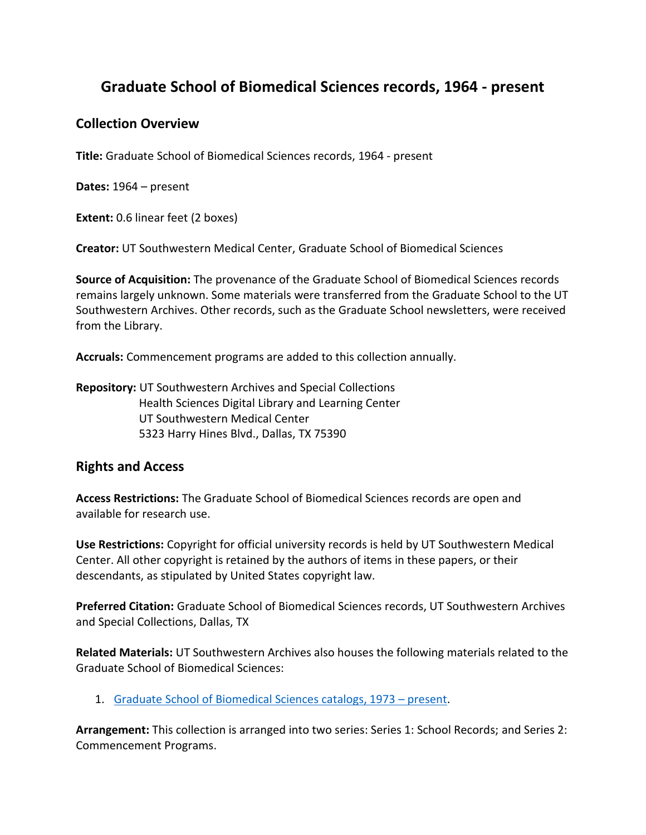# **Graduate School of Biomedical Sciences records, 1964 - present**

## **Collection Overview**

**Title:** Graduate School of Biomedical Sciences records, 1964 - present

**Dates:** 1964 – present

**Extent:** 0.6 linear feet (2 boxes)

**Creator:** UT Southwestern Medical Center, Graduate School of Biomedical Sciences

**Source of Acquisition:** The provenance of the Graduate School of Biomedical Sciences records remains largely unknown. Some materials were transferred from the Graduate School to the UT Southwestern Archives. Other records, such as the Graduate School newsletters, were received from the Library.

**Accruals:** Commencement programs are added to this collection annually.

**Repository:** UT Southwestern Archives and Special Collections Health Sciences Digital Library and Learning Center UT Southwestern Medical Center 5323 Harry Hines Blvd., Dallas, TX 75390

## **Rights and Access**

**Access Restrictions:** The Graduate School of Biomedical Sciences records are open and available for research use.

**Use Restrictions:** Copyright for official university records is held by UT Southwestern Medical Center. All other copyright is retained by the authors of items in these papers, or their descendants, as stipulated by United States copyright law.

**Preferred Citation:** Graduate School of Biomedical Sciences records, UT Southwestern Archives and Special Collections, Dallas, TX

**Related Materials:** UT Southwestern Archives also houses the following materials related to the Graduate School of Biomedical Sciences:

1. [Graduate School of Biomedical Sciences catalogs, 1973](https://utswm.bywatersolutions.com/cgi-bin/koha/opac-shelves.pl?op=view&shelfnumber=24&sortfield=itemcallnumber) – present.

**Arrangement:** This collection is arranged into two series: Series 1: School Records; and Series 2: Commencement Programs.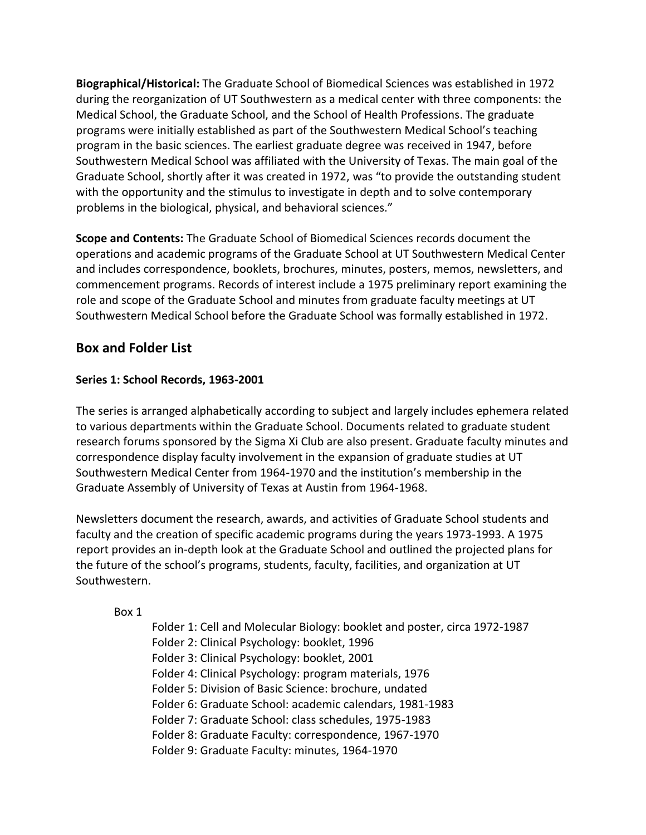**Biographical/Historical:** The Graduate School of Biomedical Sciences was established in 1972 during the reorganization of UT Southwestern as a medical center with three components: the Medical School, the Graduate School, and the School of Health Professions. The graduate programs were initially established as part of the Southwestern Medical School's teaching program in the basic sciences. The earliest graduate degree was received in 1947, before Southwestern Medical School was affiliated with the University of Texas. The main goal of the Graduate School, shortly after it was created in 1972, was "to provide the outstanding student with the opportunity and the stimulus to investigate in depth and to solve contemporary problems in the biological, physical, and behavioral sciences."

**Scope and Contents:** The Graduate School of Biomedical Sciences records document the operations and academic programs of the Graduate School at UT Southwestern Medical Center and includes correspondence, booklets, brochures, minutes, posters, memos, newsletters, and commencement programs. Records of interest include a 1975 preliminary report examining the role and scope of the Graduate School and minutes from graduate faculty meetings at UT Southwestern Medical School before the Graduate School was formally established in 1972.

# **Box and Folder List**

## **Series 1: School Records, 1963-2001**

The series is arranged alphabetically according to subject and largely includes ephemera related to various departments within the Graduate School. Documents related to graduate student research forums sponsored by the Sigma Xi Club are also present. Graduate faculty minutes and correspondence display faculty involvement in the expansion of graduate studies at UT Southwestern Medical Center from 1964-1970 and the institution's membership in the Graduate Assembly of University of Texas at Austin from 1964-1968.

Newsletters document the research, awards, and activities of Graduate School students and faculty and the creation of specific academic programs during the years 1973-1993. A 1975 report provides an in-depth look at the Graduate School and outlined the projected plans for the future of the school's programs, students, faculty, facilities, and organization at UT Southwestern.

## Box 1

Folder 1: Cell and Molecular Biology: booklet and poster, circa 1972-1987 Folder 2: Clinical Psychology: booklet, 1996 Folder 3: Clinical Psychology: booklet, 2001 Folder 4: Clinical Psychology: program materials, 1976 Folder 5: Division of Basic Science: brochure, undated Folder 6: Graduate School: academic calendars, 1981-1983 Folder 7: Graduate School: class schedules, 1975-1983 Folder 8: Graduate Faculty: correspondence, 1967-1970 Folder 9: Graduate Faculty: minutes, 1964-1970